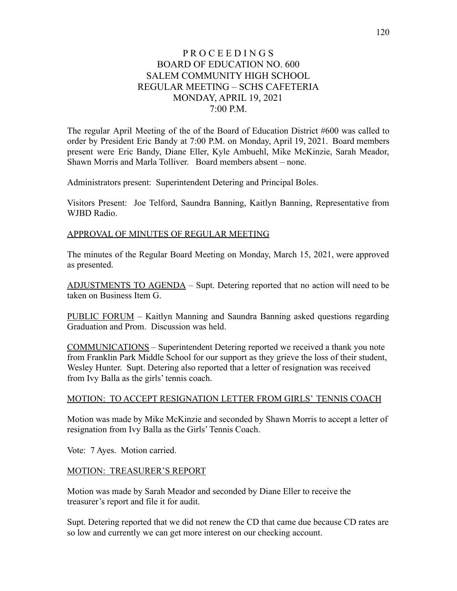# P R O C E E D I N G S BOARD OF EDUCATION NO. 600 SALEM COMMUNITY HIGH SCHOOL REGULAR MEETING – SCHS CAFETERIA MONDAY, APRIL 19, 2021 7:00 P.M.

The regular April Meeting of the of the Board of Education District #600 was called to order by President Eric Bandy at 7:00 P.M. on Monday, April 19, 2021. Board members present were Eric Bandy, Diane Eller, Kyle Ambuehl, Mike McKinzie, Sarah Meador, Shawn Morris and Marla Tolliver. Board members absent – none.

Administrators present: Superintendent Detering and Principal Boles.

Visitors Present: Joe Telford, Saundra Banning, Kaitlyn Banning, Representative from WJBD Radio.

#### APPROVAL OF MINUTES OF REGULAR MEETING

The minutes of the Regular Board Meeting on Monday, March 15, 2021, were approved as presented.

ADJUSTMENTS TO AGENDA – Supt. Detering reported that no action will need to be taken on Business Item G.

PUBLIC FORUM – Kaitlyn Manning and Saundra Banning asked questions regarding Graduation and Prom. Discussion was held.

COMMUNICATIONS – Superintendent Detering reported we received a thank you note from Franklin Park Middle School for our support as they grieve the loss of their student, Wesley Hunter. Supt. Detering also reported that a letter of resignation was received from Ivy Balla as the girls' tennis coach.

#### MOTION: TO ACCEPT RESIGNATION LETTER FROM GIRLS' TENNIS COACH

Motion was made by Mike McKinzie and seconded by Shawn Morris to accept a letter of resignation from Ivy Balla as the Girls' Tennis Coach.

Vote: 7 Ayes. Motion carried.

#### MOTION: TREASURER'S REPORT

Motion was made by Sarah Meador and seconded by Diane Eller to receive the treasurer's report and file it for audit.

Supt. Detering reported that we did not renew the CD that came due because CD rates are so low and currently we can get more interest on our checking account.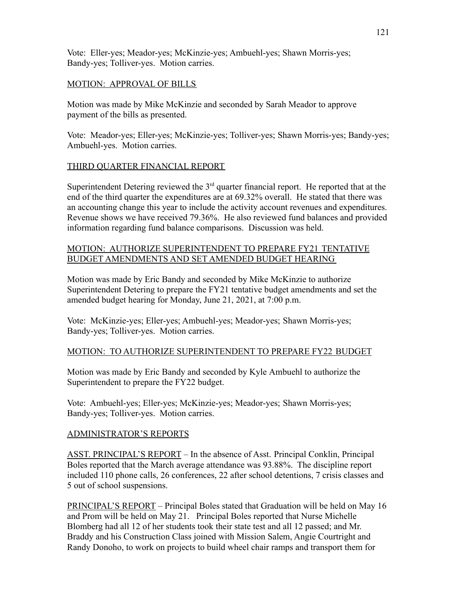Vote: Eller-yes; Meador-yes; McKinzie-yes; Ambuehl-yes; Shawn Morris-yes; Bandy-yes; Tolliver-yes. Motion carries.

# MOTION: APPROVAL OF BILLS

Motion was made by Mike McKinzie and seconded by Sarah Meador to approve payment of the bills as presented.

Vote: Meador-yes; Eller-yes; McKinzie-yes; Tolliver-yes; Shawn Morris-yes; Bandy-yes; Ambuehl-yes. Motion carries.

# THIRD QUARTER FINANCIAL REPORT

Superintendent Detering reviewed the  $3<sup>rd</sup>$  quarter financial report. He reported that at the end of the third quarter the expenditures are at 69.32% overall. He stated that there was an accounting change this year to include the activity account revenues and expenditures. Revenue shows we have received 79.36%. He also reviewed fund balances and provided information regarding fund balance comparisons. Discussion was held.

# MOTION: AUTHORIZE SUPERINTENDENT TO PREPARE FY21 TENTATIVE BUDGET AMENDMENTS AND SET AMENDED BUDGET HEARING

Motion was made by Eric Bandy and seconded by Mike McKinzie to authorize Superintendent Detering to prepare the FY21 tentative budget amendments and set the amended budget hearing for Monday, June 21, 2021, at 7:00 p.m.

Vote: McKinzie-yes; Eller-yes; Ambuehl-yes; Meador-yes; Shawn Morris-yes; Bandy-yes; Tolliver-yes. Motion carries.

### MOTION: TO AUTHORIZE SUPERINTENDENT TO PREPARE FY22 BUDGET

Motion was made by Eric Bandy and seconded by Kyle Ambuehl to authorize the Superintendent to prepare the FY22 budget.

Vote: Ambuehl-yes; Eller-yes; McKinzie-yes; Meador-yes; Shawn Morris-yes; Bandy-yes; Tolliver-yes. Motion carries.

# ADMINISTRATOR'S REPORTS

ASST. PRINCIPAL'S REPORT – In the absence of Asst. Principal Conklin, Principal Boles reported that the March average attendance was 93.88%. The discipline report included 110 phone calls, 26 conferences, 22 after school detentions, 7 crisis classes and 5 out of school suspensions.

PRINCIPAL'S REPORT – Principal Boles stated that Graduation will be held on May 16 and Prom will be held on May 21. Principal Boles reported that Nurse Michelle Blomberg had all 12 of her students took their state test and all 12 passed; and Mr. Braddy and his Construction Class joined with Mission Salem, Angie Courtright and Randy Donoho, to work on projects to build wheel chair ramps and transport them for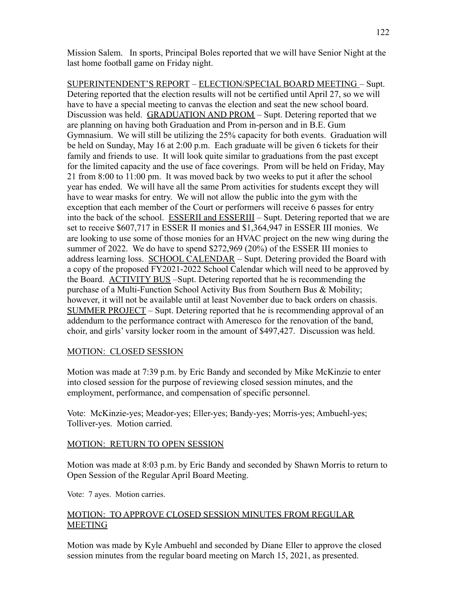Mission Salem. In sports, Principal Boles reported that we will have Senior Night at the last home football game on Friday night.

SUPERINTENDENT'S REPORT – ELECTION/SPECIAL BOARD MEETING – Supt. Detering reported that the election results will not be certified until April 27, so we will have to have a special meeting to canvas the election and seat the new school board. Discussion was held. GRADUATION AND PROM – Supt. Detering reported that we are planning on having both Graduation and Prom in-person and in B.E. Gum Gymnasium. We will still be utilizing the 25% capacity for both events. Graduation will be held on Sunday, May 16 at 2:00 p.m. Each graduate will be given 6 tickets for their family and friends to use. It will look quite similar to graduations from the past except for the limited capacity and the use of face coverings. Prom will be held on Friday, May 21 from 8:00 to 11:00 pm. It was moved back by two weeks to put it after the school year has ended. We will have all the same Prom activities for students except they will have to wear masks for entry. We will not allow the public into the gym with the exception that each member of the Court or performers will receive 6 passes for entry into the back of the school. ESSERII and ESSERIII – Supt. Detering reported that we are set to receive \$607,717 in ESSER II monies and \$1,364,947 in ESSER III monies. We are looking to use some of those monies for an HVAC project on the new wing during the summer of 2022. We do have to spend \$272,969 (20%) of the ESSER III monies to address learning loss. SCHOOL CALENDAR – Supt. Detering provided the Board with a copy of the proposed FY2021-2022 School Calendar which will need to be approved by the Board. ACTIVITY BUS –Supt. Detering reported that he is recommending the purchase of a Multi-Function School Activity Bus from Southern Bus & Mobility; however, it will not be available until at least November due to back orders on chassis. SUMMER PROJECT – Supt. Detering reported that he is recommending approval of an addendum to the performance contract with Ameresco for the renovation of the band, choir, and girls' varsity locker room in the amount of \$497,427. Discussion was held.

# MOTION: CLOSED SESSION

Motion was made at 7:39 p.m. by Eric Bandy and seconded by Mike McKinzie to enter into closed session for the purpose of reviewing closed session minutes, and the employment, performance, and compensation of specific personnel.

Vote: McKinzie-yes; Meador-yes; Eller-yes; Bandy-yes; Morris-yes; Ambuehl-yes; Tolliver-yes. Motion carried.

### MOTION: RETURN TO OPEN SESSION

Motion was made at 8:03 p.m. by Eric Bandy and seconded by Shawn Morris to return to Open Session of the Regular April Board Meeting.

Vote: 7 ayes. Motion carries.

# MOTION: TO APPROVE CLOSED SESSION MINUTES FROM REGULAR **MEETING**

Motion was made by Kyle Ambuehl and seconded by Diane Eller to approve the closed session minutes from the regular board meeting on March 15, 2021, as presented.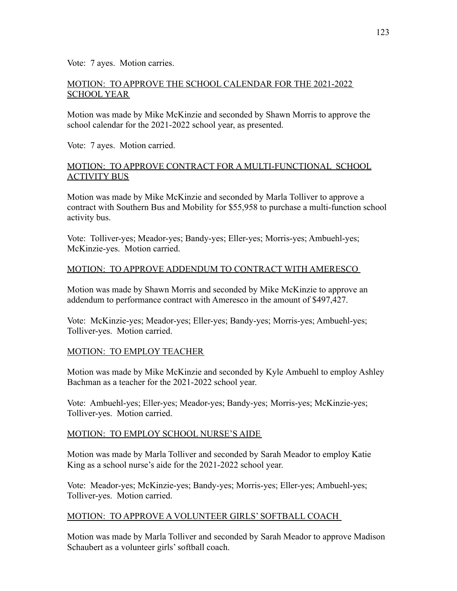Vote: 7 ayes. Motion carries.

# MOTION: TO APPROVE THE SCHOOL CALENDAR FOR THE 2021-2022 SCHOOL YEAR

Motion was made by Mike McKinzie and seconded by Shawn Morris to approve the school calendar for the 2021-2022 school year, as presented.

Vote: 7 ayes. Motion carried.

# MOTION: TO APPROVE CONTRACT FOR A MULTI-FUNCTIONAL SCHOOL ACTIVITY BUS

Motion was made by Mike McKinzie and seconded by Marla Tolliver to approve a contract with Southern Bus and Mobility for \$55,958 to purchase a multi-function school activity bus.

Vote: Tolliver-yes; Meador-yes; Bandy-yes; Eller-yes; Morris-yes; Ambuehl-yes; McKinzie-yes. Motion carried.

# MOTION: TO APPROVE ADDENDUM TO CONTRACT WITH AMERESCO

Motion was made by Shawn Morris and seconded by Mike McKinzie to approve an addendum to performance contract with Ameresco in the amount of \$497,427.

Vote: McKinzie-yes; Meador-yes; Eller-yes; Bandy-yes; Morris-yes; Ambuehl-yes; Tolliver-yes. Motion carried.

# MOTION: TO EMPLOY TEACHER

Motion was made by Mike McKinzie and seconded by Kyle Ambuehl to employ Ashley Bachman as a teacher for the 2021-2022 school year.

Vote: Ambuehl-yes; Eller-yes; Meador-yes; Bandy-yes; Morris-yes; McKinzie-yes; Tolliver-yes. Motion carried.

### MOTION: TO EMPLOY SCHOOL NURSE'S AIDE

Motion was made by Marla Tolliver and seconded by Sarah Meador to employ Katie King as a school nurse's aide for the 2021-2022 school year.

Vote: Meador-yes; McKinzie-yes; Bandy-yes; Morris-yes; Eller-yes; Ambuehl-yes; Tolliver-yes. Motion carried.

### MOTION: TO APPROVE A VOLUNTEER GIRLS' SOFTBALL COACH

Motion was made by Marla Tolliver and seconded by Sarah Meador to approve Madison Schaubert as a volunteer girls' softball coach.